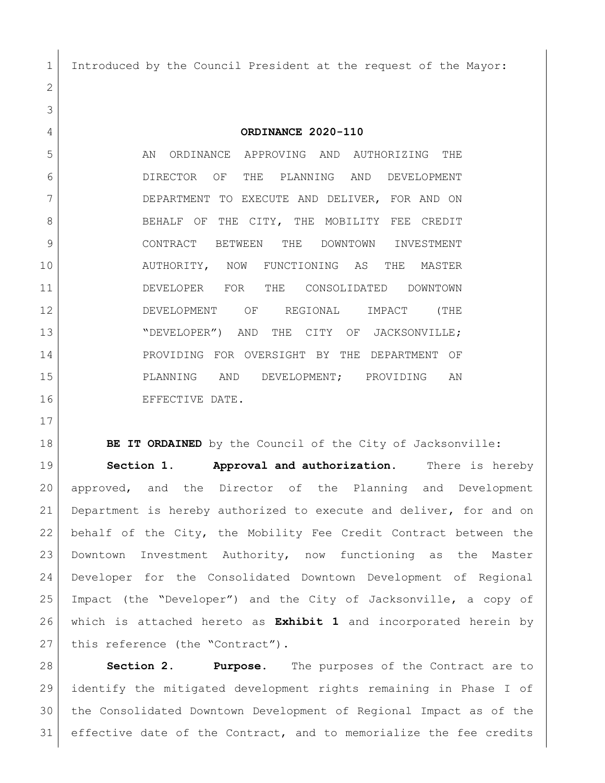Introduced by the Council President at the request of the Mayor:

**ORDINANCE 2020-110**

 AN ORDINANCE APPROVING AND AUTHORIZING THE DIRECTOR OF THE PLANNING AND DEVELOPMENT DEPARTMENT TO EXECUTE AND DELIVER, FOR AND ON 8 BEHALF OF THE CITY, THE MOBILITY FEE CREDIT CONTRACT BETWEEN THE DOWNTOWN INVESTMENT AUTHORITY, NOW FUNCTIONING AS THE MASTER DEVELOPER FOR THE CONSOLIDATED DOWNTOWN DEVELOPMENT OF REGIONAL IMPACT (THE 13 | NORVELOPER") AND THE CITY OF JACKSONVILLE; PROVIDING FOR OVERSIGHT BY THE DEPARTMENT OF PLANNING AND DEVELOPMENT; PROVIDING AN 16 EFFECTIVE DATE.

**BE IT ORDAINED** by the Council of the City of Jacksonville: **Section 1. Approval and authorization.** There is hereby approved, and the Director of the Planning and Development Department is hereby authorized to execute and deliver, for and on behalf of the City, the Mobility Fee Credit Contract between the 23 Downtown Investment Authority, now functioning as the Master Developer for the Consolidated Downtown Development of Regional Impact (the "Developer") and the City of Jacksonville, a copy of which is attached hereto as **Exhibit 1** and incorporated herein by 27 this reference (the "Contract").

 **Section 2. Purpose.** The purposes of the Contract are to identify the mitigated development rights remaining in Phase I of the Consolidated Downtown Development of Regional Impact as of the effective date of the Contract, and to memorialize the fee credits